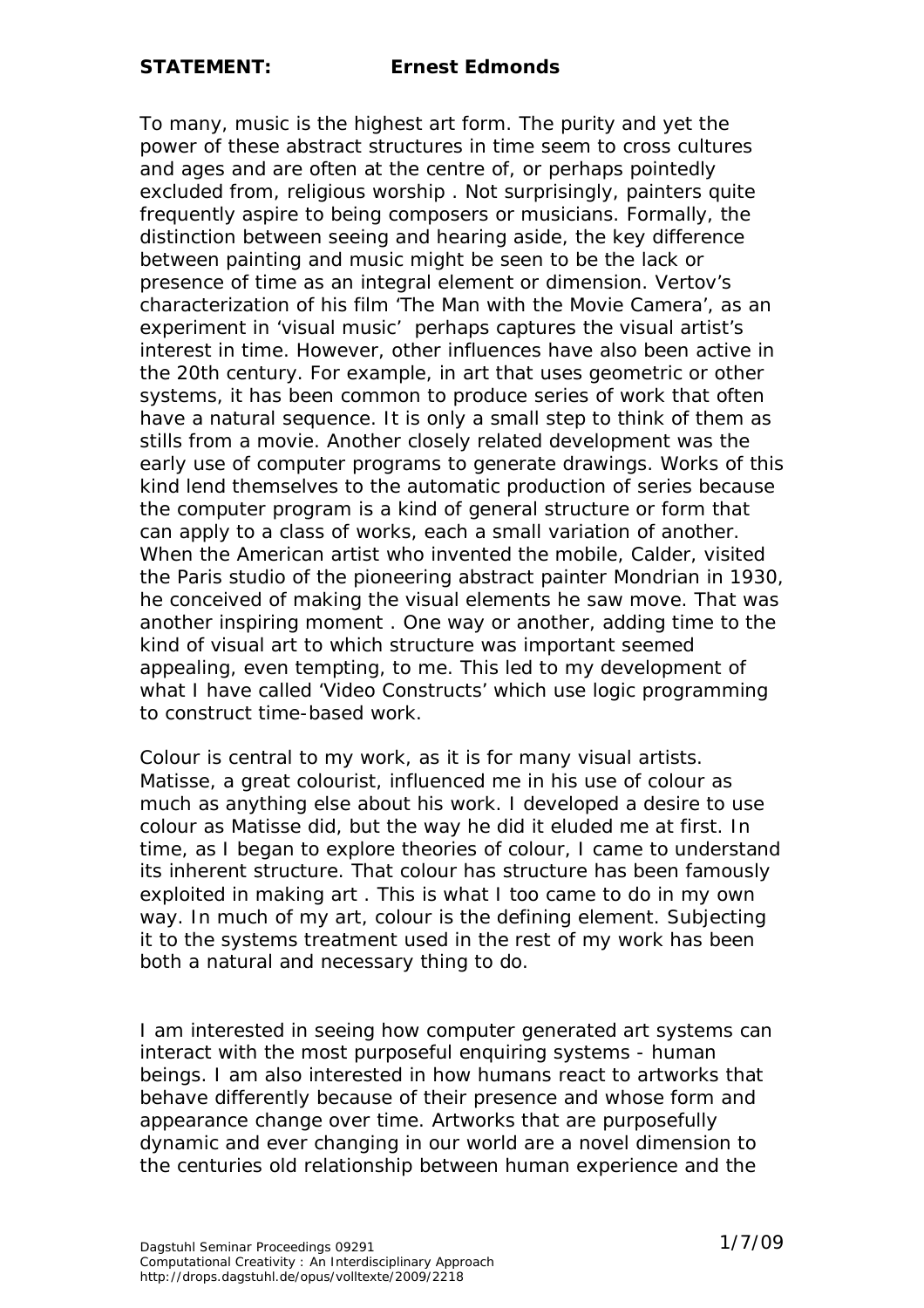To many, music is the highest art form. The purity and yet the power of these abstract structures in time seem to cross cultures and ages and are often at the centre of, or perhaps pointedly excluded from, religious worship . Not surprisingly, painters quite frequently aspire to being composers or musicians. Formally, the distinction between seeing and hearing aside, the key difference between painting and music might be seen to be the lack or presence of time as an integral element or dimension. Vertov's characterization of his film 'The Man with the Movie Camera', as an experiment in 'visual music' perhaps captures the visual artist's interest in time. However, other influences have also been active in the 20th century. For example, in art that uses geometric or other systems, it has been common to produce series of work that often have a natural sequence. It is only a small step to think of them as stills from a movie. Another closely related development was the early use of computer programs to generate drawings. Works of this kind lend themselves to the automatic production of series because the computer program is a kind of general structure or form that can apply to a class of works, each a small variation of another. When the American artist who invented the mobile, Calder, visited the Paris studio of the pioneering abstract painter Mondrian in 1930, he conceived of making the visual elements he saw move. That was another inspiring moment . One way or another, adding time to the kind of visual art to which structure was important seemed appealing, even tempting, to me. This led to my development of what I have called 'Video Constructs' which use logic programming to construct time-based work.

Colour is central to my work, as it is for many visual artists. Matisse, a great colourist, influenced me in his use of colour as much as anything else about his work. I developed a desire to use colour as Matisse did, but the way he did it eluded me at first. In time, as I began to explore theories of colour, I came to understand its inherent structure. That colour has structure has been famously exploited in making art . This is what I too came to do in my own way. In much of my art, colour is the defining element. Subjecting it to the systems treatment used in the rest of my work has been both a natural and necessary thing to do.

I am interested in seeing how computer generated art systems can interact with the most purposeful enquiring systems - human beings. I am also interested in how humans react to artworks that behave differently because of their presence and whose form and appearance change over time. Artworks that are purposefully dynamic and ever changing in our world are a novel dimension to the centuries old relationship between human experience and the